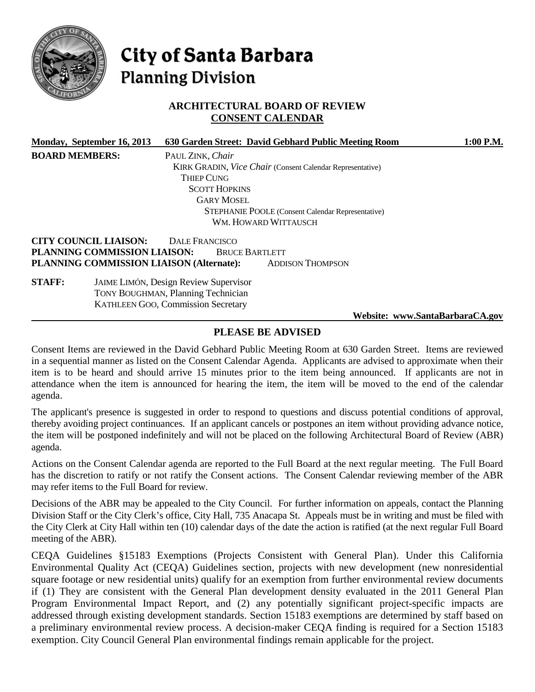

# City of Santa Barbara **Planning Division**

# **ARCHITECTURAL BOARD OF REVIEW CONSENT CALENDAR**

|                       | Monday, September 16, 2013   |                                              | 630 Garden Street: David Gebhard Public Meeting Room             |                                 | 1:00 P.M. |
|-----------------------|------------------------------|----------------------------------------------|------------------------------------------------------------------|---------------------------------|-----------|
| <b>BOARD MEMBERS:</b> |                              | PAUL ZINK, Chair                             |                                                                  |                                 |           |
|                       |                              |                                              | <b>KIRK GRADIN, Vice Chair (Consent Calendar Representative)</b> |                                 |           |
|                       |                              | Thiep Cung                                   |                                                                  |                                 |           |
|                       |                              | <b>SCOTT HOPKINS</b>                         |                                                                  |                                 |           |
|                       |                              | <b>GARY MOSEL</b>                            |                                                                  |                                 |           |
|                       |                              |                                              | <b>STEPHANIE POOLE</b> (Consent Calendar Representative)         |                                 |           |
|                       |                              |                                              | WM. HOWARD WITTAUSCH                                             |                                 |           |
|                       | <b>CITY COUNCIL LIAISON:</b> | DALE FRANCISCO                               |                                                                  |                                 |           |
|                       | PLANNING COMMISSION LIAISON: | <b>BRUCE BARTLETT</b>                        |                                                                  |                                 |           |
|                       |                              | PLANNING COMMISSION LIAISON (Alternate):     | <b>ADDISON THOMPSON</b>                                          |                                 |           |
| <b>STAFF:</b>         |                              | <b>JAIME LIMÓN, Design Review Supervisor</b> |                                                                  |                                 |           |
|                       |                              | <b>TONY BOUGHMAN, Planning Technician</b>    |                                                                  |                                 |           |
|                       |                              | <b>KATHLEEN GOO, Commission Secretary</b>    |                                                                  |                                 |           |
|                       |                              |                                              |                                                                  | Website: www.SantaBarbaraCA.gov |           |
|                       |                              |                                              |                                                                  |                                 |           |

# **PLEASE BE ADVISED**

Consent Items are reviewed in the David Gebhard Public Meeting Room at 630 Garden Street. Items are reviewed in a sequential manner as listed on the Consent Calendar Agenda. Applicants are advised to approximate when their item is to be heard and should arrive 15 minutes prior to the item being announced. If applicants are not in attendance when the item is announced for hearing the item, the item will be moved to the end of the calendar agenda.

The applicant's presence is suggested in order to respond to questions and discuss potential conditions of approval, thereby avoiding project continuances. If an applicant cancels or postpones an item without providing advance notice, the item will be postponed indefinitely and will not be placed on the following Architectural Board of Review (ABR) agenda.

Actions on the Consent Calendar agenda are reported to the Full Board at the next regular meeting. The Full Board has the discretion to ratify or not ratify the Consent actions. The Consent Calendar reviewing member of the ABR may refer items to the Full Board for review.

Decisions of the ABR may be appealed to the City Council. For further information on appeals, contact the Planning Division Staff or the City Clerk's office, City Hall, 735 Anacapa St. Appeals must be in writing and must be filed with the City Clerk at City Hall within ten (10) calendar days of the date the action is ratified (at the next regular Full Board meeting of the ABR).

CEQA Guidelines §15183 Exemptions (Projects Consistent with General Plan). Under this California Environmental Quality Act (CEQA) Guidelines section, projects with new development (new nonresidential square footage or new residential units) qualify for an exemption from further environmental review documents if (1) They are consistent with the General Plan development density evaluated in the 2011 General Plan Program Environmental Impact Report, and (2) any potentially significant project-specific impacts are addressed through existing development standards. Section 15183 exemptions are determined by staff based on a preliminary environmental review process. A decision-maker CEQA finding is required for a Section 15183 exemption. City Council General Plan environmental findings remain applicable for the project.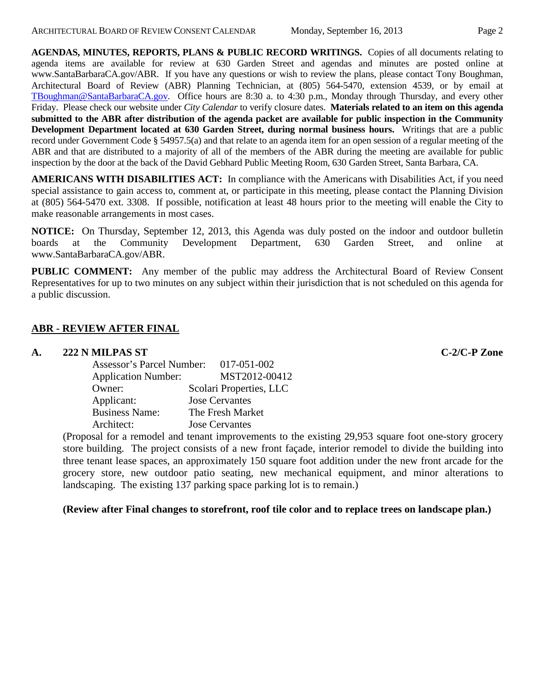**AGENDAS, MINUTES, REPORTS, PLANS & PUBLIC RECORD WRITINGS.** Copies of all documents relating to agenda items are available for review at 630 Garden Street and agendas and minutes are posted online at www.SantaBarbaraCA.gov/ABR. If you have any questions or wish to review the plans, please contact Tony Boughman, Architectural Board of Review (ABR) Planning Technician, at (805) 564-5470, extension 4539, or by email at [TBoughman@SantaBarbaraCA.gov.](mailto:TBoughman@SantaBarbaraCA.gov) Office hours are 8:30 a. to 4:30 p.m., Monday through Thursday, and every other Friday. Please check our website under *City Calendar* to verify closure dates. **Materials related to an item on this agenda submitted to the ABR after distribution of the agenda packet are available for public inspection in the Community Development Department located at 630 Garden Street, during normal business hours.** Writings that are a public record under Government Code § 54957.5(a) and that relate to an agenda item for an open session of a regular meeting of the ABR and that are distributed to a majority of all of the members of the ABR during the meeting are available for public inspection by the door at the back of the David Gebhard Public Meeting Room, 630 Garden Street, Santa Barbara, CA.

**AMERICANS WITH DISABILITIES ACT:** In compliance with the Americans with Disabilities Act, if you need special assistance to gain access to, comment at, or participate in this meeting, please contact the Planning Division at (805) 564-5470 ext. 3308. If possible, notification at least 48 hours prior to the meeting will enable the City to make reasonable arrangements in most cases.

**NOTICE:** On Thursday, September 12, 2013, this Agenda was duly posted on the indoor and outdoor bulletin boards at the Community Development Department, 630 Garden Street, and online at www.SantaBarbaraCA.gov/ABR.

**PUBLIC COMMENT:** Any member of the public may address the Architectural Board of Review Consent Representatives for up to two minutes on any subject within their jurisdiction that is not scheduled on this agenda for a public discussion.

# **ABR - REVIEW AFTER FINAL**

# **A. 222 N MILPAS ST C-2/C-P Zone**

| Assessor's Parcel Number:  | 017-051-002             |
|----------------------------|-------------------------|
| <b>Application Number:</b> | MST2012-00412           |
| Owner:                     | Scolari Properties, LLC |
| Applicant:                 | <b>Jose Cervantes</b>   |
| <b>Business Name:</b>      | The Fresh Market        |
| Architect:                 | <b>Jose Cervantes</b>   |

(Proposal for a remodel and tenant improvements to the existing 29,953 square foot one-story grocery store building. The project consists of a new front façade, interior remodel to divide the building into three tenant lease spaces, an approximately 150 square foot addition under the new front arcade for the grocery store, new outdoor patio seating, new mechanical equipment, and minor alterations to landscaping. The existing 137 parking space parking lot is to remain.)

**(Review after Final changes to storefront, roof tile color and to replace trees on landscape plan.)**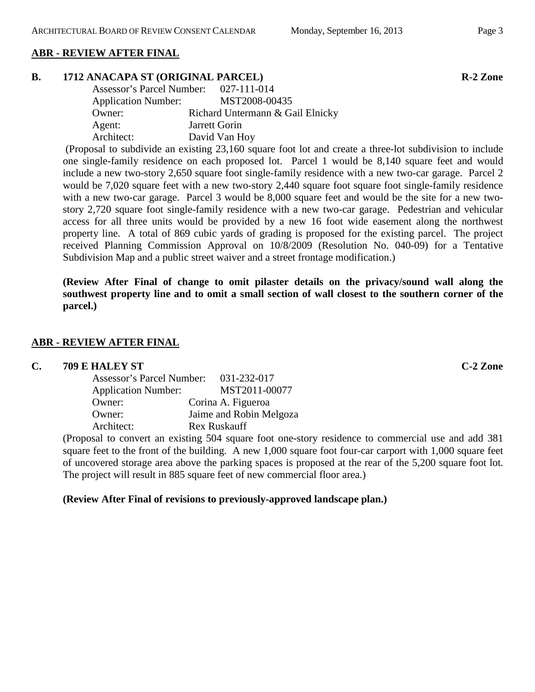# **ABR - REVIEW AFTER FINAL**

#### **B. 1712 ANACAPA ST (ORIGINAL PARCEL) R-2 Zone**

| Assessor's Parcel Number:  | 027-111-014                      |
|----------------------------|----------------------------------|
| <b>Application Number:</b> | MST2008-00435                    |
| Owner:                     | Richard Untermann & Gail Elnicky |
| Agent:                     | Jarrett Gorin                    |
| Architect:                 | David Van Hoy                    |

(Proposal to subdivide an existing 23,160 square foot lot and create a three-lot subdivision to include one single-family residence on each proposed lot. Parcel 1 would be 8,140 square feet and would include a new two-story 2,650 square foot single-family residence with a new two-car garage. Parcel 2 would be 7,020 square feet with a new two-story 2,440 square foot square foot single-family residence with a new two-car garage. Parcel 3 would be 8,000 square feet and would be the site for a new twostory 2,720 square foot single-family residence with a new two-car garage. Pedestrian and vehicular access for all three units would be provided by a new 16 foot wide easement along the northwest property line. A total of 869 cubic yards of grading is proposed for the existing parcel. The project received Planning Commission Approval on 10/8/2009 (Resolution No. 040-09) for a Tentative Subdivision Map and a public street waiver and a street frontage modification.)

**(Review After Final of change to omit pilaster details on the privacy/sound wall along the southwest property line and to omit a small section of wall closest to the southern corner of the parcel.)**

## **ABR - REVIEW AFTER FINAL**

#### **C. 709 E HALEY ST C-2 Zone**

| Assessor's Parcel Number:  | 031-232-017             |
|----------------------------|-------------------------|
| <b>Application Number:</b> | MST2011-00077           |
| Owner:                     | Corina A. Figueroa      |
| Owner:                     | Jaime and Robin Melgoza |
| Architect:                 | <b>Rex Ruskauff</b>     |

(Proposal to convert an existing 504 square foot one-story residence to commercial use and add 381 square feet to the front of the building. A new 1,000 square foot four-car carport with 1,000 square feet of uncovered storage area above the parking spaces is proposed at the rear of the 5,200 square foot lot. The project will result in 885 square feet of new commercial floor area.)

#### **(Review After Final of revisions to previously-approved landscape plan.)**